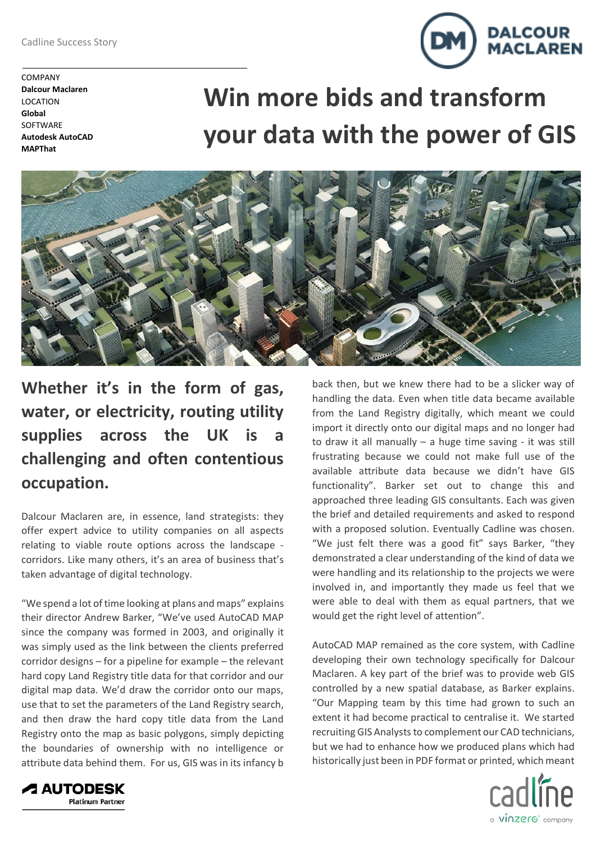COMPANY **Dalcour Maclaren** LOCATION **Global SOFTWARE Autodesk AutoCAD MAPThat**

## **Win more bids and transform your data with the power of GIS**



## **Whether it's in the form of gas, water, or electricity, routing utility supplies across the UK is a challenging and often contentious occupation.**

Dalcour Maclaren are, in essence, land strategists: they offer expert advice to utility companies on all aspects relating to viable route options across the landscape corridors. Like many others, it's an area of business that's taken advantage of digital technology.

"We spend a lot of time looking at plans and maps" explains their director Andrew Barker, "We've used AutoCAD MAP since the company was formed in 2003, and originally it was simply used as the link between the clients preferred corridor designs – for a pipeline for example – the relevant hard copy Land Registry title data for that corridor and our digital map data. We'd draw the corridor onto our maps, use that to set the parameters of the Land Registry search, and then draw the hard copy title data from the Land Registry onto the map as basic polygons, simply depicting the boundaries of ownership with no intelligence or attribute data behind them. For us, GIS was in its infancy b

back then, but we knew there had to be a slicker way of handling the data. Even when title data became available from the Land Registry digitally, which meant we could import it directly onto our digital maps and no longer had to draw it all manually  $-$  a huge time saving  $-$  it was still frustrating because we could not make full use of the available attribute data because we didn't have GIS functionality". Barker set out to change this and approached three leading GIS consultants. Each was given the brief and detailed requirements and asked to respond with a proposed solution. Eventually Cadline was chosen. "We just felt there was a good fit" says Barker, "they demonstrated a clear understanding of the kind of data we were handling and its relationship to the projects we were involved in, and importantly they made us feel that we were able to deal with them as equal partners, that we would get the right level of attention".

AutoCAD MAP remained as the core system, with Cadline developing their own technology specifically for Dalcour Maclaren. A key part of the brief was to provide web GIS controlled by a new spatial database, as Barker explains. "Our Mapping team by this time had grown to such an extent it had become practical to centralise it. We started recruiting GIS Analysts to complement our CAD technicians, but we had to enhance how we produced plans which had historically just been in PDF format or printed, which meant